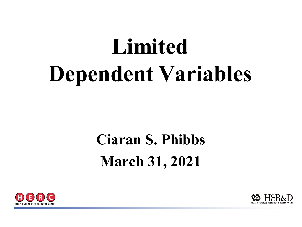# **Limited Dependent Variables**

## **Ciaran S. Phibbs March 31, 2021**



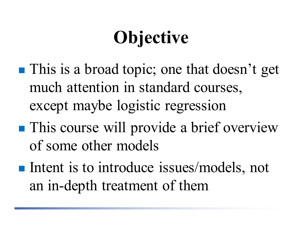## **Objective**

- **This is a broad topic; one that doesn't get** much attention in standard courses, except maybe logistic regression
- **This course will provide a brief overview** of some other models
- Intent is to introduce issues/models, not an in-depth treatment of them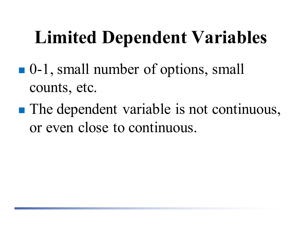## **Limited Dependent Variables**

- 0-1, small number of options, small counts, etc.
- **The dependent variable is not continuous,** or even close to continuous.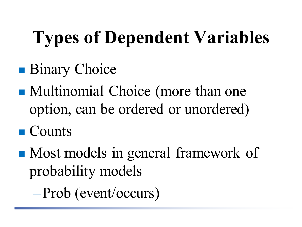# **Types of Dependent Variables**

- **Binary Choice**
- Multinomial Choice (more than one option, can be ordered or unordered)
- Counts
- Most models in general framework of probability models

–Prob (event/occurs)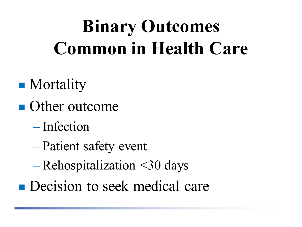## **Binary Outcomes Common in Health Care**

- Mortality
- **Other outcome** 
	- Infection
	- Patient safety event
	- Rehospitalization <30 days
- **Decision to seek medical care**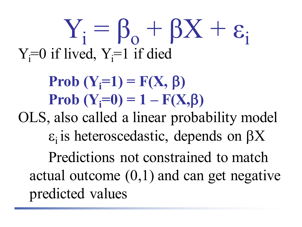# $Y_i = \beta_0 + \beta X + \varepsilon_i$  $Y_i = 0$  if lived,  $Y_i = 1$  if died

#### **Prob**  $(Y_i=1) = F(X, \beta)$ **Prob**  $(Y_i=0) = 1 - F(X_i)$

OLS, also called a linear probability model  $\varepsilon$ <sub>i</sub> is heteroscedastic, depends on  $\beta X$ 

Predictions not constrained to match actual outcome  $(0,1)$  and can get negative predicted values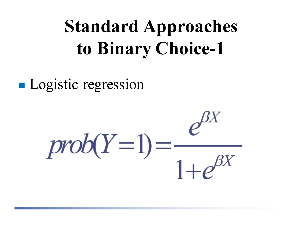## **Standard Approaches to Binary Choice-1**

**Logistic regression** 

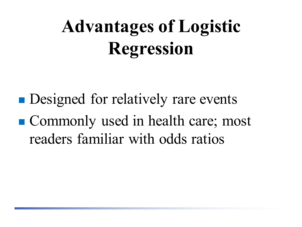## **Advantages of Logistic Regression**

**Designed for relatively rare events** ■ Commonly used in health care; most readers familiar with odds ratios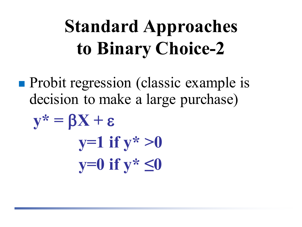## **Standard Approaches to Binary Choice-2**

**Probit regression (classic example is** decision to make a large purchase)

$$
y^* = \beta X + \varepsilon
$$
  
y=1 if y^\* > 0  
y=0 if y^\* \le 0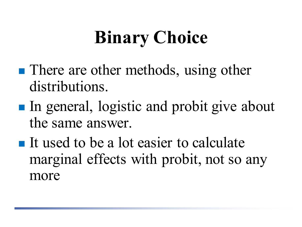## **Binary Choice**

- There are other methods, using other distributions.
- In general, logistic and probit give about the same answer.
- $\blacksquare$  It used to be a lot easier to calculate marginal effects with probit, not so any more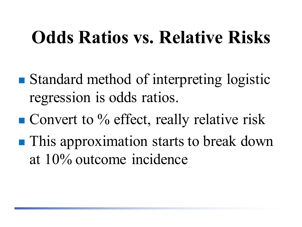## **Odds Ratios vs. Relative Risks**

- Standard method of interpreting logistic regression is odds ratios.
- $\blacksquare$  Convert to % effect, really relative risk
- **This approximation starts to break down** at 10% outcome incidence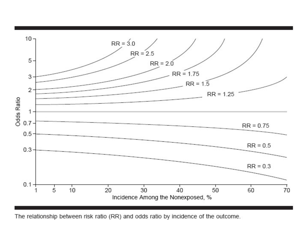

The relationship between risk ratio (RR) and odds ratio by incidence of the outcome.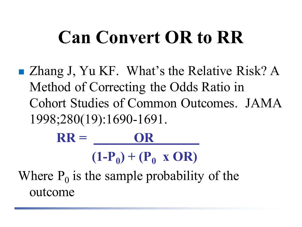## **Can Convert OR to RR**

■ Zhang J, Yu KF. What's the Relative Risk? A Method of Correcting the Odds Ratio in Cohort Studies of Common Outcomes. JAMA 1998;280(19):1690-1691.

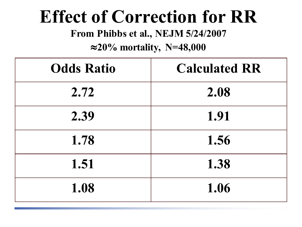#### **Effect of Correction for RR**

**From Phibbs et al., NEJM 5/24/2007**

#### ≈**20% mortality, N=48,000**

| <b>Odds Ratio</b> | <b>Calculated RR</b> |  |  |  |  |
|-------------------|----------------------|--|--|--|--|
| 2.72              | 2.08                 |  |  |  |  |
| 2.39              | 1.91                 |  |  |  |  |
| 1.78              | 1.56                 |  |  |  |  |
| 1.51              | 1.38                 |  |  |  |  |
| 1.08              | 1.06                 |  |  |  |  |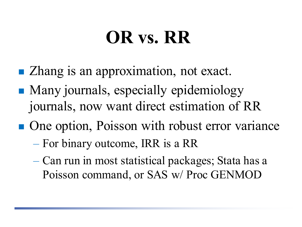## **OR vs. RR**

- Zhang is an approximation, not exact.
- Many journals, especially epidemiology journals, now want direct estimation of RR
- One option, Poisson with robust error variance
	- For binary outcome, IRR is a RR
	- Can run in most statistical packages; Stata has a Poisson command, or SAS w/ Proc GENMOD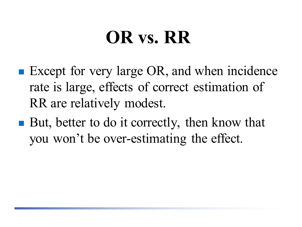## **OR vs. RR**

- Except for very large OR, and when incidence rate is large, effects of correct estimation of RR are relatively modest.
- But, better to do it correctly, then know that you won't be over-estimating the effect.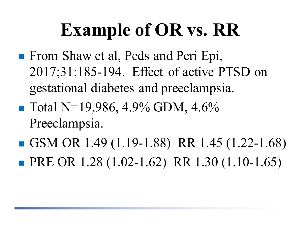## **Example of OR vs. RR**

- **From Shaw et al, Peds and Peri Epi,** 2017;31:185-194. Effect of active PTSD on gestational diabetes and preeclampsia.
- $\blacksquare$  Total N=19,986, 4.9% GDM, 4.6% Preeclampsia.
- GSM OR 1.49  $(1.19-1.88)$  RR 1.45  $(1.22-1.68)$ **PRE OR 1.28 (1.02-1.62) RR 1.30 (1.10-1.65)**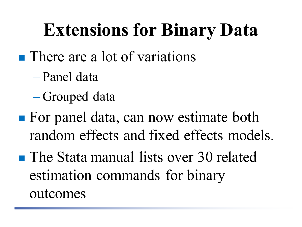## **Extensions for Binary Data**

- **There are a lot of variations** 
	- Panel data
	- Grouped data
- **For panel data, can now estimate both** random effects and fixed effects models.
- **The Stata manual lists over 30 related** estimation commands for binary outcomes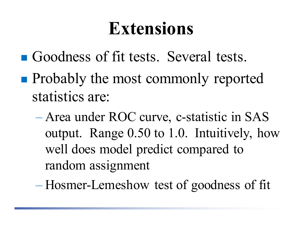### **Extensions**

- Goodness of fit tests. Several tests.
- **Probably the most commonly reported** statistics are:
	- Area under ROC curve, c-statistic in SAS output. Range 0.50 to 1.0. Intuitively, how well does model predict compared to random assignment
	- Hosmer-Lemeshow test of goodness of fit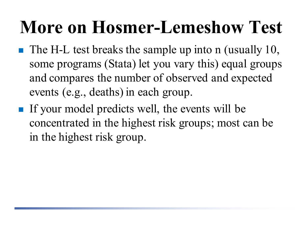## **More on Hosmer-Lemeshow Test**

- The H-L test breaks the sample up into n (usually 10, some programs (Stata) let you vary this) equal groups and compares the number of observed and expected events (e.g., deaths) in each group.
- If your model predicts well, the events will be concentrated in the highest risk groups; most can be in the highest risk group.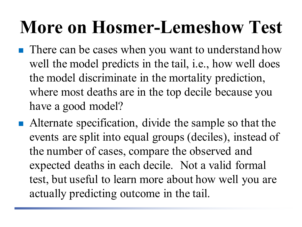### **More on Hosmer-Lemeshow Test**

- **There can be cases when you want to understand how** well the model predicts in the tail, *i.e.*, how well does the model discriminate in the mortality prediction, where most deaths are in the top decile because you have a good model?
- Alternate specification, divide the sample so that the events are split into equal groups (deciles), instead of the number of cases, compare the observed and expected deaths in each decile. Not a valid formal test, but useful to learn more about how well you are actually predicting outcome in the tail.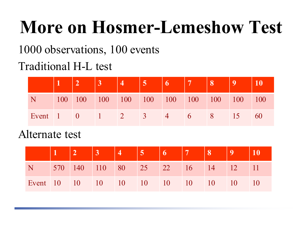## **More on Hosmer-Lemeshow Test**

1000 observations, 100 events

#### Traditional H-L test

|                          |  |  | 5                |      |      | 8 |                |     |
|--------------------------|--|--|------------------|------|------|---|----------------|-----|
|                          |  |  |                  |      |      |   |                |     |
| Event $1 \t 0 \t 1 \t 2$ |  |  | $\blacksquare$ 3 | $-4$ | $-6$ |   | $\triangle 15$ | -60 |

#### Alternate test

|                                  |  | $\vert 3 \vert$ | $5 -$                         | $\begin{array}{ c c c c c } \hline 6 & 7 & \hline \end{array}$ | $\parallel 8$ |                 |            |
|----------------------------------|--|-----------------|-------------------------------|----------------------------------------------------------------|---------------|-----------------|------------|
|                                  |  |                 | 570 140 110 80 25 22 16 14 12 |                                                                |               |                 | $\vert$ 11 |
| Event 10 10 10 10 10 10 10 10 10 |  |                 |                               |                                                                |               | 10 <sup>1</sup> |            |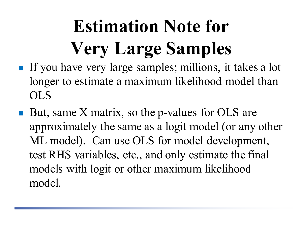# **Estimation Note for Very Large Samples**

- If you have very large samples; millions, it takes a lot longer to estimate a maximum likelihood model than OLS
- But, same X matrix, so the p-values for OLS are approximately the same as a logit model (or any other ML model). Can use OLS for model development, test RHS variables, etc., and only estimate the final models with logit or other maximum likelihood model.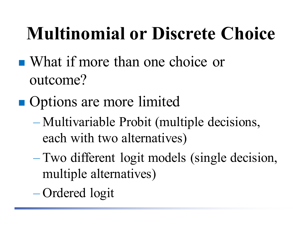## **Multinomial or Discrete Choice**

- What if more than one choice or outcome?
- **Options are more limited** 
	- Multivariable Probit (multiple decisions, each with two alternatives)
	- Two different logit models (single decision, multiple alternatives)
	- Ordered logit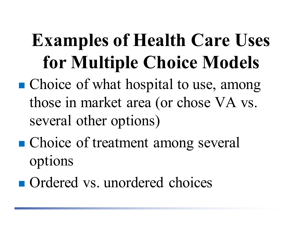## **Examples of Health Care Uses for Multiple Choice Models**

- Choice of what hospital to use, among those in market area (or chose VA vs. several other options)
- Choice of treatment among several options
- **Ordered vs. unordered choices**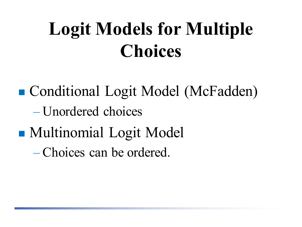## **Logit Models for Multiple Choices**

■ Conditional Logit Model (McFadden) – Unordered choices

**Multinomial Logit Model** 

– Choices can be ordered.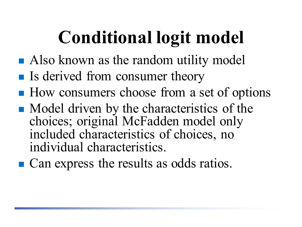## **Conditional logit model**

- **Also known as the random utility model**
- If Is derived from consumer theory
- How consumers choose from a set of options
- Model driven by the characteristics of the choices; original McFadden model only included characteristics of choices, no individual characteristics.
- **Can express the results as odds ratios.**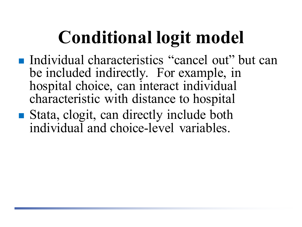## **Conditional logit model**

- Individual characteristics "cancel out" but can be included indirectly. For example, in hospital choice, can interact individual characteristic with distance to hospital
- Stata, clogit, can directly include both individual and choice-level variables.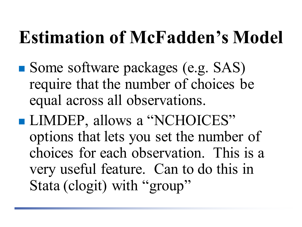## **Estimation of McFadden's Model**

- Some software packages (e.g. SAS) require that the number of choices be equal across all observations.
- **LIMDEP**, allows a "NCHOICES" options that lets you set the number of choices for each observation. This is a very useful feature. Can to do this in Stata (clogit) with "group"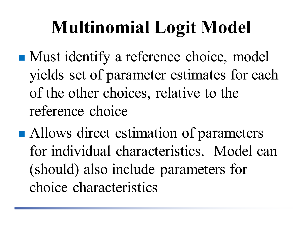## **Multinomial Logit Model**

- **Must identify a reference choice, model** yields set of parameter estimates for each of the other choices, relative to the reference choice
- Allows direct estimation of parameters for individual characteristics. Model can (should) also include parameters for choice characteristics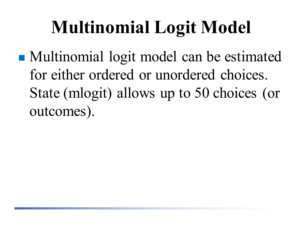## **Multinomial Logit Model**

 Multinomial logit model can be estimated for either ordered or unordered choices. State (mlogit) allows up to 50 choices (or outcomes).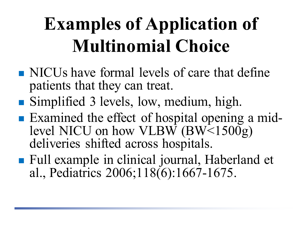## **Examples of Application of Multinomial Choice**

- NICUs have formal levels of care that define patients that they can treat.
- Simplified 3 levels, low, medium, high.
- Examined the effect of hospital opening a mid-<br>level NICU on how VLBW (BW<1500g) deliveries shifted across hospitals.
- Full example in clinical journal, Haberland et al., Pediatrics 2006;118(6):1667-1675.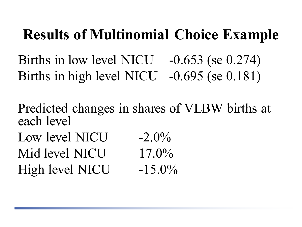#### **Results of Multinomial Choice Example**

Births in low level NICU -0.653 (se 0.274) Births in high level NICU -0.695 (se 0.181)

Predicted changes in shares of VLBW births at each level

Low level NICU  $-2.0\%$ Mid level NICU 17.0% High level NICU  $-15.0\%$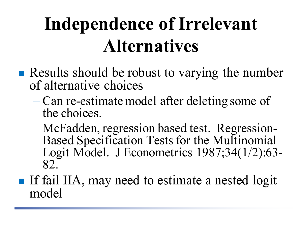## **Independence of Irrelevant Alternatives**

- **Results should be robust to varying the number** of alternative choices
	- Can re-estimate model after deleting some of the choices.
	- McFadden, regression based test. Regression- Based Specification Tests for the Multinomial Logit Model. J Econometrics 1987;34(1/2):63- 82.
- If fail IIA, may need to estimate a nested logit model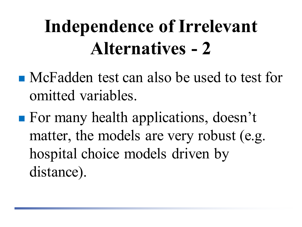## **Independence of Irrelevant Alternatives - 2**

- **Neve** McFadden test can also be used to test for omitted variables.
- **For many health applications, doesn't** matter, the models are very robust (e.g. hospital choice models driven by distance).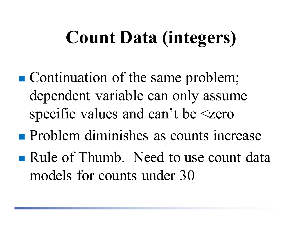## **Count Data (integers)**

- Continuation of the same problem; dependent variable can only assume specific values and can't be  $\leq$ zero
- **Problem diminishes as counts increase**
- Rule of Thumb. Need to use count data models for counts under 30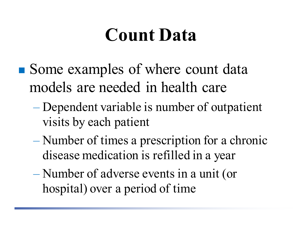### **Count Data**

- Some examples of where count data models are needed in health care
	- Dependent variable is number of outpatient visits by each patient
	- Number of times a prescription for a chronic disease medication is refilled in a year
	- Number of adverse events in a unit (or hospital) over a period of time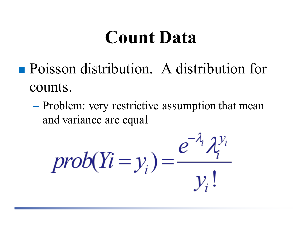#### **Count Data**

- Poisson distribution. A distribution for counts.
	- Problem: very restrictive assumption that mean and variance are equal

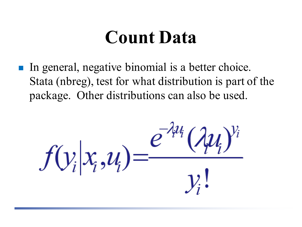#### **Count Data**

 In general, negative binomial is a better choice. Stata (nbreg), test for what distribution is part of the package. Other distributions can also be used.

 $f(y_i|x_i, u_i) = \frac{e^{-ru}}{r}$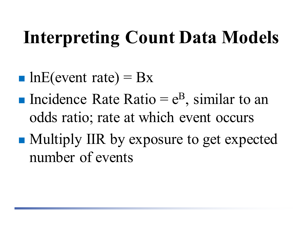## **Interpreting Count Data Models**

- lnE(event rate) =  $Bx$
- Incidence Rate Ratio =  $e^{B}$ , similar to an odds ratio; rate at which event occurs
- Multiply IIR by exposure to get expected number of events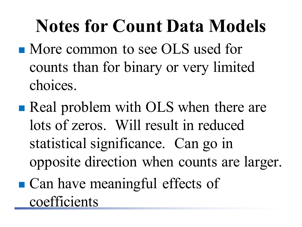## **Notes for Count Data Models**

- More common to see OLS used for counts than for binary or very limited choices.
- **Real problem with OLS when there are** lots of zeros. Will result in reduced statistical significance. Can go in opposite direction when counts are larger. ■ Can have meaningful effects of

coefficients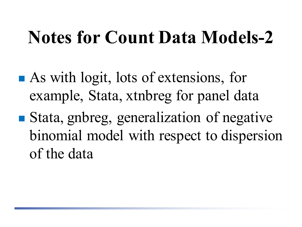## **Notes for Count Data Models-2**

- **As with logit, lots of extensions, for** example, Stata, xtnbreg for panel data
- Stata, gnbreg, generalization of negative binomial model with respect to dispersion of the data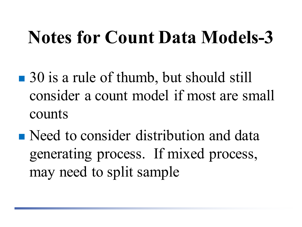## **Notes for Count Data Models-3**

- 30 is a rule of thumb, but should still consider a count model if most are small counts
- Need to consider distribution and data generating process. If mixed process, may need to split sample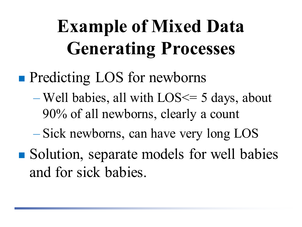## **Example of Mixed Data Generating Processes**

#### **Predicting LOS for newborns**

- Well babies, all with LOS<= 5 days, about 90% of all newborns, clearly a count
- Sick newborns, can have very long LOS
- Solution, separate models for well babies and for sick babies.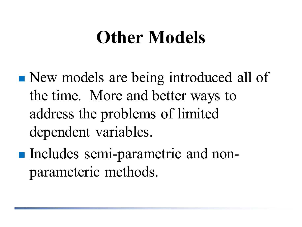### **Other Models**

- New models are being introduced all of the time. More and better ways to address the problems of limited dependent variables.
- Includes semi-parametric and nonparameteric methods.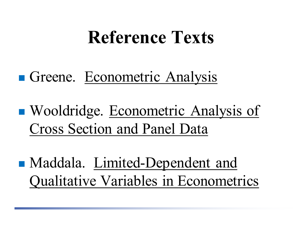#### **Reference Texts**

#### Greene. Econometric Analysis

■ Wooldridge. Econometric Analysis of Cross Section and Panel Data

• Maddala. Limited-Dependent and Qualitative Variables in Econometrics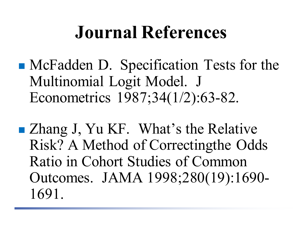#### **Journal References**

- McFadden D. Specification Tests for the Multinomial Logit Model. J Econometrics 1987;34(1/2):63-82.
- Zhang J, Yu KF. What's the Relative Risk? A Method of Correctingthe Odds Ratio in Cohort Studies of Common Outcomes. JAMA 1998;280(19):1690- 1691.